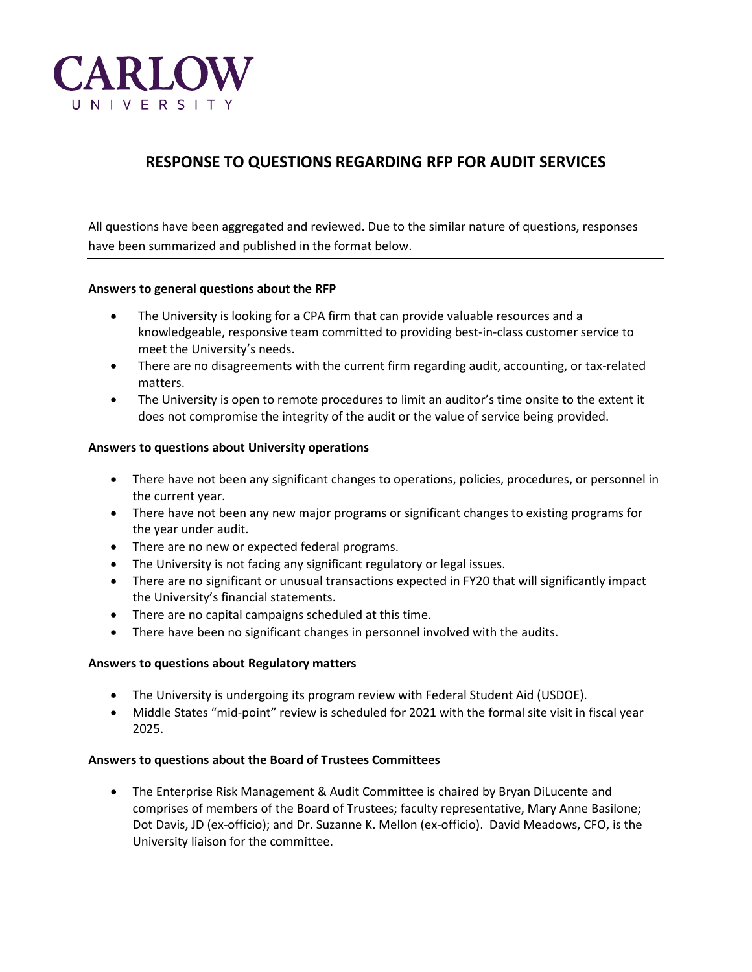

# **RESPONSE TO QUESTIONS REGARDING RFP FOR AUDIT SERVICES**

All questions have been aggregated and reviewed. Due to the similar nature of questions, responses have been summarized and published in the format below.

### **Answers to general questions about the RFP**

- The University is looking for a CPA firm that can provide valuable resources and a knowledgeable, responsive team committed to providing best-in-class customer service to meet the University's needs.
- There are no disagreements with the current firm regarding audit, accounting, or tax-related matters.
- The University is open to remote procedures to limit an auditor's time onsite to the extent it does not compromise the integrity of the audit or the value of service being provided.

### **Answers to questions about University operations**

- There have not been any significant changes to operations, policies, procedures, or personnel in the current year.
- There have not been any new major programs or significant changes to existing programs for the year under audit.
- There are no new or expected federal programs.
- The University is not facing any significant regulatory or legal issues.
- There are no significant or unusual transactions expected in FY20 that will significantly impact the University's financial statements.
- There are no capital campaigns scheduled at this time.
- There have been no significant changes in personnel involved with the audits.

## **Answers to questions about Regulatory matters**

- The University is undergoing its program review with Federal Student Aid (USDOE).
- Middle States "mid-point" review is scheduled for 2021 with the formal site visit in fiscal year 2025.

## **Answers to questions about the Board of Trustees Committees**

• The Enterprise Risk Management & Audit Committee is chaired by Bryan DiLucente and comprises of members of the Board of Trustees; faculty representative, Mary Anne Basilone; Dot Davis, JD (ex-officio); and Dr. Suzanne K. Mellon (ex-officio). David Meadows, CFO, is the University liaison for the committee.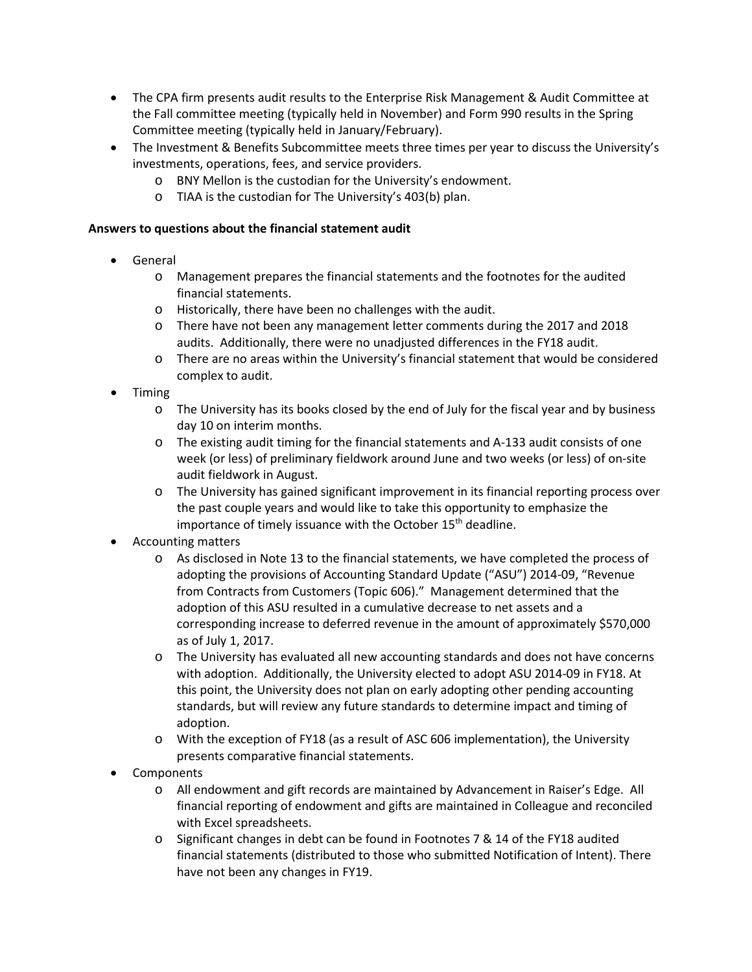- The CPA firm presents audit results to the Enterprise Risk Management & Audit Committee at the Fall committee meeting (typically held in November) and Form 990 results in the Spring Committee meeting (typically held in January/February).
- The Investment & Benefits Subcommittee meets three times per year to discuss the University's investments, operations, fees, and service providers.
	- o BNY Mellon is the custodian for the University's endowment.
	- o TIAA is the custodian for The University's 403(b) plan.

## **Answers to questions about the financial statement audit**

- General
	- o Management prepares the financial statements and the footnotes for the audited financial statements.
	- o Historically, there have been no challenges with the audit.
	- o There have not been any management letter comments during the 2017 and 2018 audits. Additionally, there were no unadjusted differences in the FY18 audit.
	- o There are no areas within the University's financial statement that would be considered complex to audit.
- Timing
	- o The University has its books closed by the end of July for the fiscal year and by business day 10 on interim months.
	- o The existing audit timing for the financial statements and A-133 audit consists of one week (or less) of preliminary fieldwork around June and two weeks (or less) of on-site audit fieldwork in August.
	- o The University has gained significant improvement in its financial reporting process over the past couple years and would like to take this opportunity to emphasize the importance of timely issuance with the October 15<sup>th</sup> deadline.
- Accounting matters
	- o As disclosed in Note 13 to the financial statements, we have completed the process of adopting the provisions of Accounting Standard Update ("ASU") 2014-09, "Revenue from Contracts from Customers (Topic 606)." Management determined that the adoption of this ASU resulted in a cumulative decrease to net assets and a corresponding increase to deferred revenue in the amount of approximately \$570,000 as of July 1, 2017.
	- o The University has evaluated all new accounting standards and does not have concerns with adoption. Additionally, the University elected to adopt ASU 2014-09 in FY18. At this point, the University does not plan on early adopting other pending accounting standards, but will review any future standards to determine impact and timing of adoption.
	- o With the exception of FY18 (as a result of ASC 606 implementation), the University presents comparative financial statements.
- Components
	- o All endowment and gift records are maintained by Advancement in Raiser's Edge. All financial reporting of endowment and gifts are maintained in Colleague and reconciled with Excel spreadsheets.
	- o Significant changes in debt can be found in Footnotes 7 & 14 of the FY18 audited financial statements (distributed to those who submitted Notification of Intent). There have not been any changes in FY19.